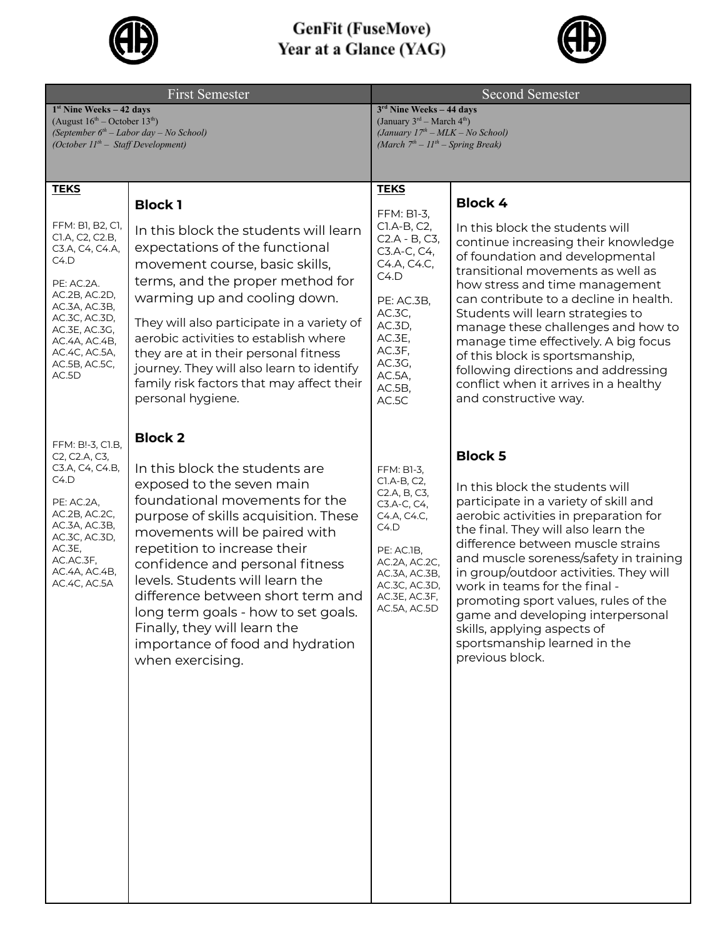

## **GenFit (FuseMove)**<br>Year at a Glance (YAG)



| First Semester                                                                                                                                                                                               |                                                                                                                                                                                                                                                                                                                                                                                                                                                  | Second Semester                                                                                                                                                                   |                                                                                                                                                                                                                                                                                                                                                                                                                                                                                                     |
|--------------------------------------------------------------------------------------------------------------------------------------------------------------------------------------------------------------|--------------------------------------------------------------------------------------------------------------------------------------------------------------------------------------------------------------------------------------------------------------------------------------------------------------------------------------------------------------------------------------------------------------------------------------------------|-----------------------------------------------------------------------------------------------------------------------------------------------------------------------------------|-----------------------------------------------------------------------------------------------------------------------------------------------------------------------------------------------------------------------------------------------------------------------------------------------------------------------------------------------------------------------------------------------------------------------------------------------------------------------------------------------------|
| $1st$ Nine Weeks – 42 days<br>(August $16^{\text{th}}$ – October $13^{\text{th}}$ )                                                                                                                          |                                                                                                                                                                                                                                                                                                                                                                                                                                                  | $3rd$ Nine Weeks - 44 days<br>(January 3rd – March 4th)                                                                                                                           |                                                                                                                                                                                                                                                                                                                                                                                                                                                                                                     |
| (October $IIth$ – Staff Development)                                                                                                                                                                         | (September $6th$ – Labor day – No School)                                                                                                                                                                                                                                                                                                                                                                                                        | (January $17th - MLK - No School$ )<br>(March $7th - 11th - Spring Break$ )                                                                                                       |                                                                                                                                                                                                                                                                                                                                                                                                                                                                                                     |
|                                                                                                                                                                                                              |                                                                                                                                                                                                                                                                                                                                                                                                                                                  |                                                                                                                                                                                   |                                                                                                                                                                                                                                                                                                                                                                                                                                                                                                     |
|                                                                                                                                                                                                              |                                                                                                                                                                                                                                                                                                                                                                                                                                                  |                                                                                                                                                                                   |                                                                                                                                                                                                                                                                                                                                                                                                                                                                                                     |
| <b>TEKS</b>                                                                                                                                                                                                  | <b>Block 1</b>                                                                                                                                                                                                                                                                                                                                                                                                                                   | <b>TEKS</b>                                                                                                                                                                       | <b>Block 4</b>                                                                                                                                                                                                                                                                                                                                                                                                                                                                                      |
| FFM: B1, B2, C1,<br>CI.A, C2, C2.B,<br>C3.A, C4, C4.A,<br>C4.D<br>PE: AC.2A.<br>AC.2B, AC.2D,<br>AC.3A, AC.3B,<br>AC.3C, AC.3D,<br>AC.3E, AC.3G,<br>AC.4A, AC.4B,<br>AC.4C, AC.5A,<br>AC.5B, AC.5C,<br>AC.5D | In this block the students will learn<br>expectations of the functional<br>movement course, basic skills,<br>terms, and the proper method for<br>warming up and cooling down.<br>They will also participate in a variety of<br>aerobic activities to establish where<br>they are at in their personal fitness<br>journey. They will also learn to identify<br>family risk factors that may affect their<br>personal hygiene.                     | FFM: B1-3,<br>CI.A-B, C2,<br>C2.A - B, C3,<br>C3.A-C, C4,<br>C4.A, C4.C,<br>C4.D<br>PE: AC.3B,<br>AC.3C,<br>AC.3D,<br>AC.3E,<br>AC.3F,<br>AC.3G,<br>AC.5A,<br>$AC.5B$ ,<br>AC.5C  | In this block the students will<br>continue increasing their knowledge<br>of foundation and developmental<br>transitional movements as well as<br>how stress and time management<br>can contribute to a decline in health.<br>Students will learn strategies to<br>manage these challenges and how to<br>manage time effectively. A big focus<br>of this block is sportsmanship,<br>following directions and addressing<br>conflict when it arrives in a healthy<br>and constructive way.           |
|                                                                                                                                                                                                              | <b>Block 2</b>                                                                                                                                                                                                                                                                                                                                                                                                                                   |                                                                                                                                                                                   |                                                                                                                                                                                                                                                                                                                                                                                                                                                                                                     |
| FFM: B!-3, C1.B,<br>C2, C2.A, C3,<br>C3.A, C4, C4.B,<br>C4.D<br>PE: AC.2A,<br>AC.2B, AC.2C,<br>AC.3A, AC.3B,<br>AC.3C, AC.3D,<br>AC.3E,<br>AC.AC.3F,<br>AC.4A, AC.4B,<br>AC.4C, AC.5A                        | In this block the students are<br>exposed to the seven main<br>foundational movements for the<br>purpose of skills acquisition. These<br>movements will be paired with<br>repetition to increase their<br>confidence and personal fitness<br>levels. Students will learn the<br>difference between short term and<br>long term goals - how to set goals.<br>Finally, they will learn the<br>importance of food and hydration<br>when exercising. | FFM: B1-3,<br>C1.A-B, C2,<br>C2.A, B, C3,<br>C3.A-C, C4,<br>C4.A, C4.C,<br>C4.D<br>PE: AC.1B,<br>AC.2A, AC.2C,<br>AC.3A, AC.3B,<br>AC.3C, AC.3D,<br>AC.3E, AC.3F,<br>AC.5A, AC.5D | <b>Block 5</b><br>In this block the students will<br>participate in a variety of skill and<br>aerobic activities in preparation for<br>the final. They will also learn the<br>difference between muscle strains<br>and muscle soreness/safety in training<br>in group/outdoor activities. They will<br>work in teams for the final -<br>promoting sport values, rules of the<br>game and developing interpersonal<br>skills, applying aspects of<br>sportsmanship learned in the<br>previous block. |